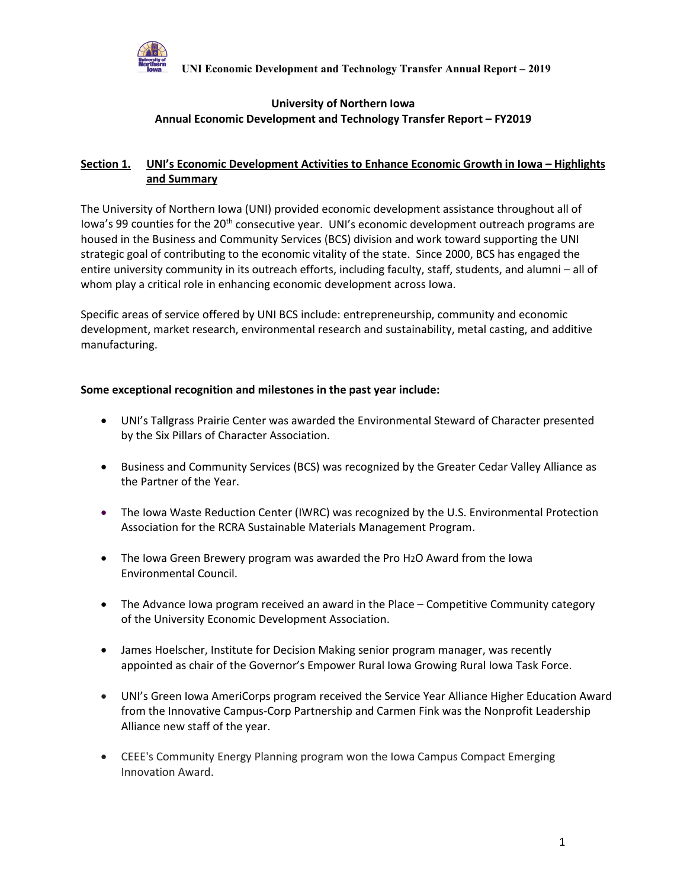

#### **University of Northern Iowa Annual Economic Development and Technology Transfer Report – FY2019**

### **Section 1. UNI's Economic Development Activities to Enhance Economic Growth in Iowa – Highlights and Summary**

The University of Northern Iowa (UNI) provided economic development assistance throughout all of Iowa's 99 counties for the 20<sup>th</sup> consecutive year. UNI's economic development outreach programs are housed in the Business and Community Services (BCS) division and work toward supporting the UNI strategic goal of contributing to the economic vitality of the state. Since 2000, BCS has engaged the entire university community in its outreach efforts, including faculty, staff, students, and alumni – all of whom play a critical role in enhancing economic development across Iowa.

Specific areas of service offered by UNI BCS include: entrepreneurship, community and economic development, market research, environmental research and sustainability, metal casting, and additive manufacturing.

#### **Some exceptional recognition and milestones in the past year include:**

- UNI's Tallgrass Prairie Center was awarded the Environmental Steward of Character presented by the Six Pillars of Character Association.
- Business and Community Services (BCS) was recognized by the Greater Cedar Valley Alliance as the Partner of the Year.
- The Iowa Waste Reduction Center (IWRC) was recognized by the U.S. Environmental Protection Association for the RCRA Sustainable Materials Management Program.
- The Iowa Green Brewery program was awarded the Pro H2O Award from the Iowa Environmental Council.
- The Advance Iowa program received an award in the Place Competitive Community category of the University Economic Development Association.
- James Hoelscher, Institute for Decision Making senior program manager, was recently appointed as chair of the Governor's Empower Rural Iowa Growing Rural Iowa Task Force.
- UNI's Green Iowa AmeriCorps program received the Service Year Alliance Higher Education Award from the Innovative Campus-Corp Partnership and Carmen Fink was the Nonprofit Leadership Alliance new staff of the year.
- CEEE's Community Energy Planning program won the Iowa Campus Compact Emerging Innovation Award.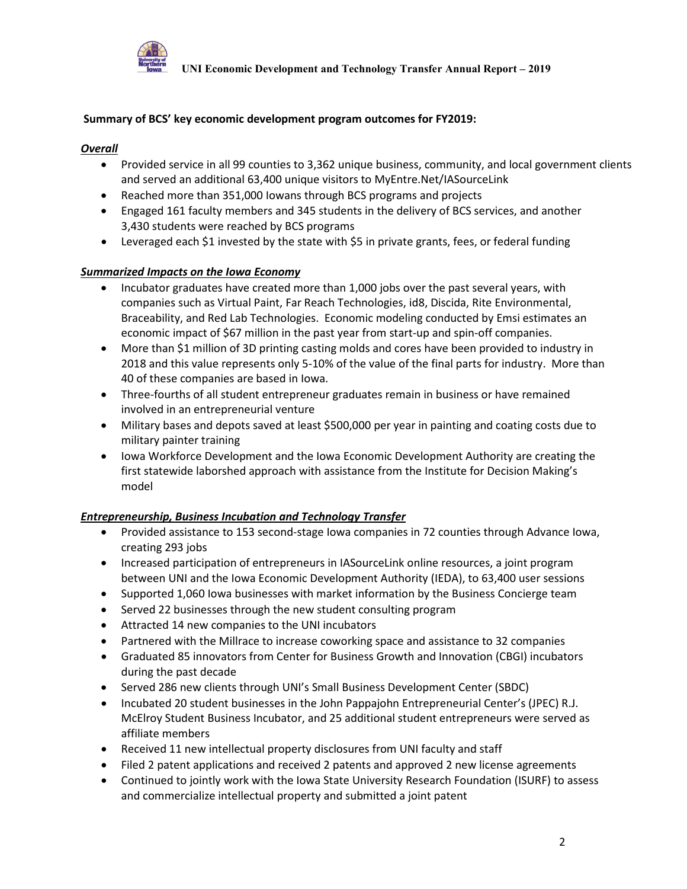

#### **Summary of BCS' key economic development program outcomes for FY2019:**

#### *Overall*

- Provided service in all 99 counties to 3,362 unique business, community, and local government clients and served an additional 63,400 unique visitors to MyEntre.Net/IASourceLink
- Reached more than 351,000 Iowans through BCS programs and projects
- Engaged 161 faculty members and 345 students in the delivery of BCS services, and another 3,430 students were reached by BCS programs
- Leveraged each \$1 invested by the state with \$5 in private grants, fees, or federal funding

#### *Summarized Impacts on the Iowa Economy*

- Incubator graduates have created more than 1,000 jobs over the past several years, with companies such as Virtual Paint, Far Reach Technologies, id8, Discida, Rite Environmental, Braceability, and Red Lab Technologies. Economic modeling conducted by Emsi estimates an economic impact of \$67 million in the past year from start-up and spin-off companies.
- More than \$1 million of 3D printing casting molds and cores have been provided to industry in 2018 and this value represents only 5-10% of the value of the final parts for industry. More than 40 of these companies are based in Iowa.
- Three-fourths of all student entrepreneur graduates remain in business or have remained involved in an entrepreneurial venture
- Military bases and depots saved at least \$500,000 per year in painting and coating costs due to military painter training
- Iowa Workforce Development and the Iowa Economic Development Authority are creating the first statewide laborshed approach with assistance from the Institute for Decision Making's model

#### *Entrepreneurship, Business Incubation and Technology Transfer*

- Provided assistance to 153 second-stage Iowa companies in 72 counties through Advance Iowa, creating 293 jobs
- Increased participation of entrepreneurs in IASourceLink online resources, a joint program between UNI and the Iowa Economic Development Authority (IEDA), to 63,400 user sessions
- Supported 1,060 Iowa businesses with market information by the Business Concierge team
- Served 22 businesses through the new student consulting program
- Attracted 14 new companies to the UNI incubators
- Partnered with the Millrace to increase coworking space and assistance to 32 companies
- Graduated 85 innovators from Center for Business Growth and Innovation (CBGI) incubators during the past decade
- Served 286 new clients through UNI's Small Business Development Center (SBDC)
- Incubated 20 student businesses in the John Pappajohn Entrepreneurial Center's (JPEC) R.J. McElroy Student Business Incubator, and 25 additional student entrepreneurs were served as affiliate members
- Received 11 new intellectual property disclosures from UNI faculty and staff
- Filed 2 patent applications and received 2 patents and approved 2 new license agreements
- Continued to jointly work with the Iowa State University Research Foundation (ISURF) to assess and commercialize intellectual property and submitted a joint patent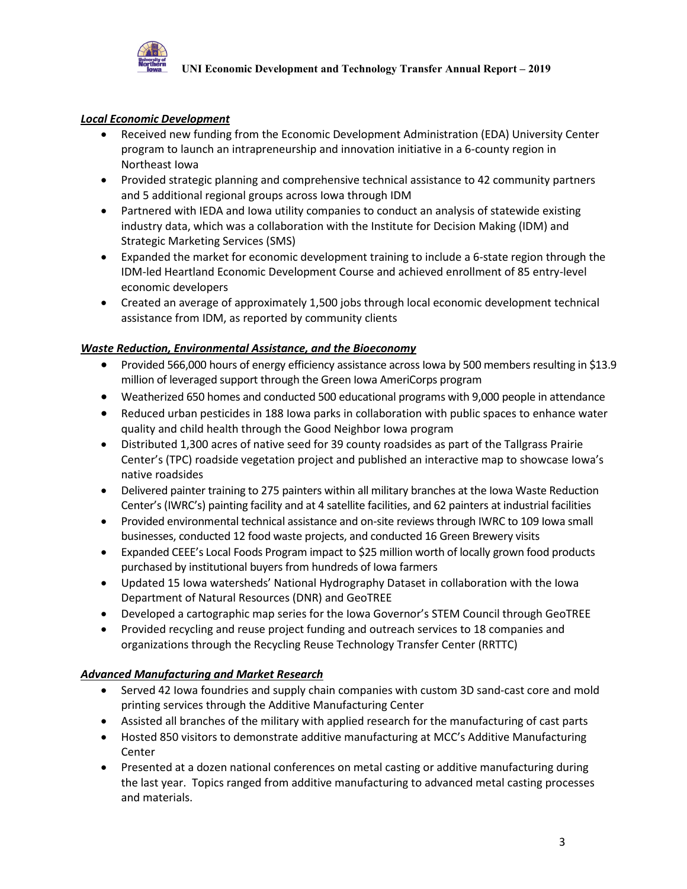

### *Local Economic Development*

- Received new funding from the Economic Development Administration (EDA) University Center program to launch an intrapreneurship and innovation initiative in a 6-county region in Northeast Iowa
- Provided strategic planning and comprehensive technical assistance to 42 community partners and 5 additional regional groups across Iowa through IDM
- Partnered with IEDA and Iowa utility companies to conduct an analysis of statewide existing industry data, which was a collaboration with the Institute for Decision Making (IDM) and Strategic Marketing Services (SMS)
- Expanded the market for economic development training to include a 6-state region through the IDM-led Heartland Economic Development Course and achieved enrollment of 85 entry-level economic developers
- Created an average of approximately 1,500 jobs through local economic development technical assistance from IDM, as reported by community clients

### *Waste Reduction, Environmental Assistance, and the Bioeconomy*

- Provided 566,000 hours of energy efficiency assistance across Iowa by 500 members resulting in \$13.9 million of leveraged support through the Green Iowa AmeriCorps program
- Weatherized 650 homes and conducted 500 educational programs with 9,000 people in attendance
- Reduced urban pesticides in 188 Iowa parks in collaboration with public spaces to enhance water quality and child health through the Good Neighbor Iowa program
- Distributed 1,300 acres of native seed for 39 county roadsides as part of the Tallgrass Prairie Center's (TPC) roadside vegetation project and published an interactive map to showcase Iowa's native roadsides
- Delivered painter training to 275 painters within all military branches at the Iowa Waste Reduction Center's (IWRC's) painting facility and at 4 satellite facilities, and 62 painters at industrial facilities
- Provided environmental technical assistance and on-site reviews through IWRC to 109 Iowa small businesses, conducted 12 food waste projects, and conducted 16 Green Brewery visits
- Expanded CEEE's Local Foods Program impact to \$25 million worth of locally grown food products purchased by institutional buyers from hundreds of Iowa farmers
- Updated 15 Iowa watersheds' National Hydrography Dataset in collaboration with the Iowa Department of Natural Resources (DNR) and GeoTREE
- Developed a cartographic map series for the Iowa Governor's STEM Council through GeoTREE
- Provided recycling and reuse project funding and outreach services to 18 companies and organizations through the Recycling Reuse Technology Transfer Center (RRTTC)

### *Advanced Manufacturing and Market Research*

- Served 42 Iowa foundries and supply chain companies with custom 3D sand-cast core and mold printing services through the Additive Manufacturing Center
- Assisted all branches of the military with applied research for the manufacturing of cast parts
- Hosted 850 visitors to demonstrate additive manufacturing at MCC's Additive Manufacturing Center
- Presented at a dozen national conferences on metal casting or additive manufacturing during the last year. Topics ranged from additive manufacturing to advanced metal casting processes and materials.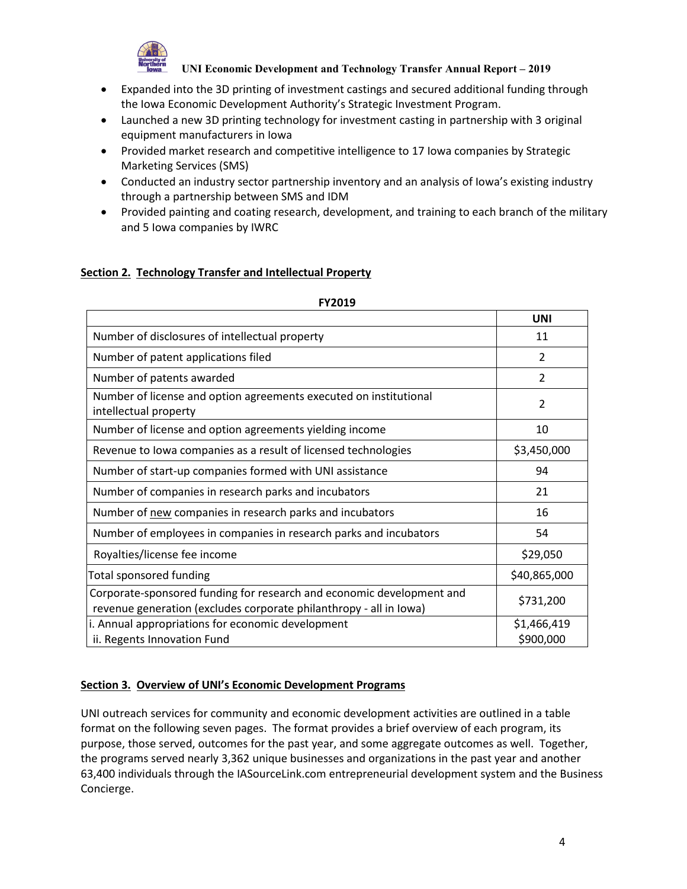

- Expanded into the 3D printing of investment castings and secured additional funding through the Iowa Economic Development Authority's Strategic Investment Program.
- Launched a new 3D printing technology for investment casting in partnership with 3 original equipment manufacturers in Iowa
- Provided market research and competitive intelligence to 17 Iowa companies by Strategic Marketing Services (SMS)
- Conducted an industry sector partnership inventory and an analysis of Iowa's existing industry through a partnership between SMS and IDM
- Provided painting and coating research, development, and training to each branch of the military and 5 Iowa companies by IWRC

### **Section 2. Technology Transfer and Intellectual Property**

|                                                                                                                                             | <b>UNI</b>               |
|---------------------------------------------------------------------------------------------------------------------------------------------|--------------------------|
| Number of disclosures of intellectual property                                                                                              | 11                       |
| Number of patent applications filed                                                                                                         | $\overline{2}$           |
| Number of patents awarded                                                                                                                   | $\overline{2}$           |
| Number of license and option agreements executed on institutional<br>intellectual property                                                  | $\mathcal{P}$            |
| Number of license and option agreements yielding income                                                                                     | 10                       |
| Revenue to lowa companies as a result of licensed technologies                                                                              | \$3,450,000              |
| Number of start-up companies formed with UNI assistance                                                                                     | 94                       |
| Number of companies in research parks and incubators                                                                                        | 21                       |
| Number of new companies in research parks and incubators                                                                                    | 16                       |
| Number of employees in companies in research parks and incubators                                                                           | 54                       |
| Royalties/license fee income                                                                                                                | \$29,050                 |
| <b>Total sponsored funding</b>                                                                                                              | \$40,865,000             |
| Corporate-sponsored funding for research and economic development and<br>revenue generation (excludes corporate philanthropy - all in Iowa) | \$731,200                |
| i. Annual appropriations for economic development<br>ii. Regents Innovation Fund                                                            | \$1,466,419<br>\$900,000 |

### **FY2019**

### **Section 3. Overview of UNI's Economic Development Programs**

UNI outreach services for community and economic development activities are outlined in a table format on the following seven pages. The format provides a brief overview of each program, its purpose, those served, outcomes for the past year, and some aggregate outcomes as well. Together, the programs served nearly 3,362 unique businesses and organizations in the past year and another 63,400 individuals through the IASourceLink.com entrepreneurial development system and the Business Concierge.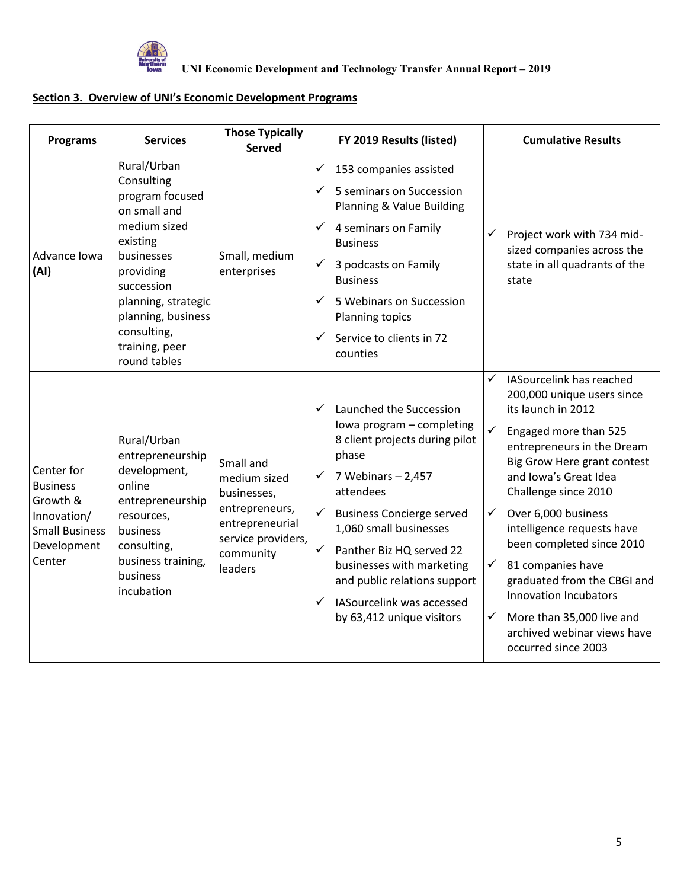

| <b>Programs</b>                                                                                            | <b>Services</b>                                                                                                                                                                                                                 | <b>Those Typically</b><br><b>Served</b>                                                                                     |                                                                                                                                                 | FY 2019 Results (listed)                                                                                                                                                                                                                                                                                | <b>Cumulative Results</b>                                                                                                                                                                                                                                                                                                                                                                                                                                                                                        |
|------------------------------------------------------------------------------------------------------------|---------------------------------------------------------------------------------------------------------------------------------------------------------------------------------------------------------------------------------|-----------------------------------------------------------------------------------------------------------------------------|-------------------------------------------------------------------------------------------------------------------------------------------------|---------------------------------------------------------------------------------------------------------------------------------------------------------------------------------------------------------------------------------------------------------------------------------------------------------|------------------------------------------------------------------------------------------------------------------------------------------------------------------------------------------------------------------------------------------------------------------------------------------------------------------------------------------------------------------------------------------------------------------------------------------------------------------------------------------------------------------|
| Advance Iowa<br>(AI)                                                                                       | Rural/Urban<br>Consulting<br>program focused<br>on small and<br>medium sized<br>existing<br>businesses<br>providing<br>succession<br>planning, strategic<br>planning, business<br>consulting,<br>training, peer<br>round tables | Small, medium<br>enterprises                                                                                                | ✓<br>✓<br>4 seminars on Family<br>✓<br><b>Business</b><br>✓<br>3 podcasts on Family<br><b>Business</b><br>✓<br>Planning topics<br>✓<br>counties | 153 companies assisted<br>5 seminars on Succession<br>Planning & Value Building<br>5 Webinars on Succession<br>Service to clients in 72                                                                                                                                                                 | ✓<br>Project work with 734 mid-<br>sized companies across the<br>state in all quadrants of the<br>state                                                                                                                                                                                                                                                                                                                                                                                                          |
| Center for<br><b>Business</b><br>Growth &<br>Innovation/<br><b>Small Business</b><br>Development<br>Center | Rural/Urban<br>entrepreneurship<br>development,<br>online<br>entrepreneurship<br>resources,<br>business<br>consulting,<br>business training,<br>business<br>incubation                                                          | Small and<br>medium sized<br>businesses,<br>entrepreneurs,<br>entrepreneurial<br>service providers,<br>community<br>leaders | ✓<br>phase<br>7 Webinars $-2,457$<br>✓<br>attendees<br>✓<br>$\checkmark$<br>✓                                                                   | Launched the Succession<br>Iowa program - completing<br>8 client projects during pilot<br><b>Business Concierge served</b><br>1,060 small businesses<br>Panther Biz HQ served 22<br>businesses with marketing<br>and public relations support<br>IASourcelink was accessed<br>by 63,412 unique visitors | IASourcelink has reached<br>✓<br>200,000 unique users since<br>its launch in 2012<br>✓<br>Engaged more than 525<br>entrepreneurs in the Dream<br>Big Grow Here grant contest<br>and Iowa's Great Idea<br>Challenge since 2010<br>Over 6,000 business<br>✓<br>intelligence requests have<br>been completed since 2010<br>81 companies have<br>✓<br>graduated from the CBGI and<br><b>Innovation Incubators</b><br>More than 35,000 live and<br>$\checkmark$<br>archived webinar views have<br>occurred since 2003 |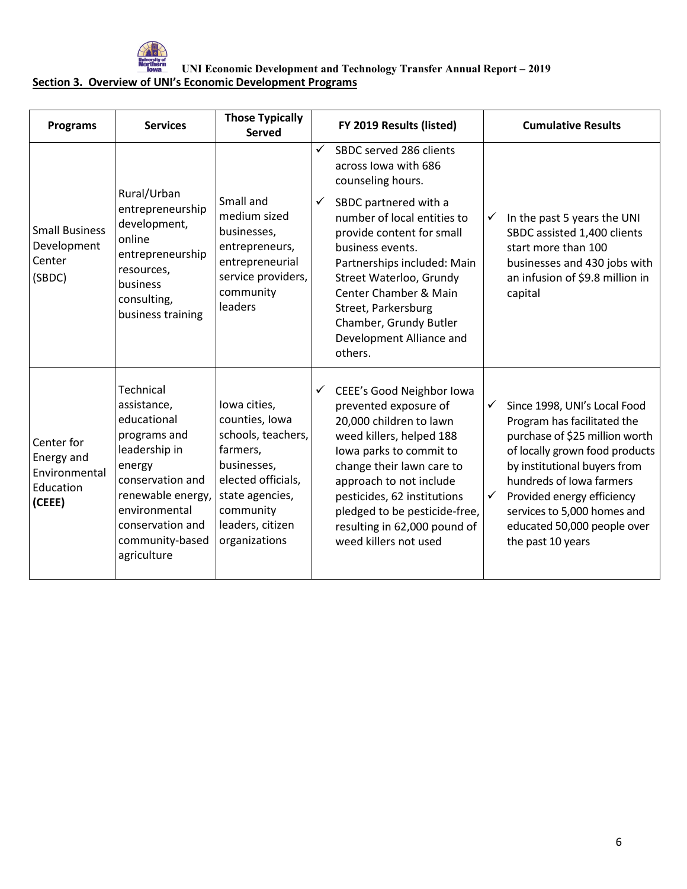

| <b>Programs</b>                                                  | <b>Services</b>                                                                                                                                                                                    | <b>Those Typically</b><br><b>Served</b>                                                                                                                                    |                   | FY 2019 Results (listed)                                                                                                                                                                                                                                                                                                                                            |                              | <b>Cumulative Results</b>                                                                                                                                                                                                                                                                                    |
|------------------------------------------------------------------|----------------------------------------------------------------------------------------------------------------------------------------------------------------------------------------------------|----------------------------------------------------------------------------------------------------------------------------------------------------------------------------|-------------------|---------------------------------------------------------------------------------------------------------------------------------------------------------------------------------------------------------------------------------------------------------------------------------------------------------------------------------------------------------------------|------------------------------|--------------------------------------------------------------------------------------------------------------------------------------------------------------------------------------------------------------------------------------------------------------------------------------------------------------|
| <b>Small Business</b><br>Development<br>Center<br>(SBDC)         | Rural/Urban<br>entrepreneurship<br>development,<br>online<br>entrepreneurship<br>resources,<br>business<br>consulting,<br>business training                                                        | Small and<br>medium sized<br>businesses,<br>entrepreneurs,<br>entrepreneurial<br>service providers,<br>community<br>leaders                                                | $\checkmark$<br>✓ | SBDC served 286 clients<br>across lowa with 686<br>counseling hours.<br>SBDC partnered with a<br>number of local entities to<br>provide content for small<br>business events.<br>Partnerships included: Main<br>Street Waterloo, Grundy<br><b>Center Chamber &amp; Main</b><br>Street, Parkersburg<br>Chamber, Grundy Butler<br>Development Alliance and<br>others. | ✓                            | In the past 5 years the UNI<br>SBDC assisted 1,400 clients<br>start more than 100<br>businesses and 430 jobs with<br>an infusion of \$9.8 million in<br>capital                                                                                                                                              |
| Center for<br>Energy and<br>Environmental<br>Education<br>(CEEE) | Technical<br>assistance,<br>educational<br>programs and<br>leadership in<br>energy<br>conservation and<br>renewable energy,<br>environmental<br>conservation and<br>community-based<br>agriculture | lowa cities,<br>counties, Iowa<br>schools, teachers,<br>farmers,<br>businesses,<br>elected officials,<br>state agencies,<br>community<br>leaders, citizen<br>organizations | $\checkmark$      | CEEE's Good Neighbor Iowa<br>prevented exposure of<br>20,000 children to lawn<br>weed killers, helped 188<br>lowa parks to commit to<br>change their lawn care to<br>approach to not include<br>pesticides, 62 institutions<br>pledged to be pesticide-free,<br>resulting in 62,000 pound of<br>weed killers not used                                               | $\checkmark$<br>$\checkmark$ | Since 1998, UNI's Local Food<br>Program has facilitated the<br>purchase of \$25 million worth<br>of locally grown food products<br>by institutional buyers from<br>hundreds of Iowa farmers<br>Provided energy efficiency<br>services to 5,000 homes and<br>educated 50,000 people over<br>the past 10 years |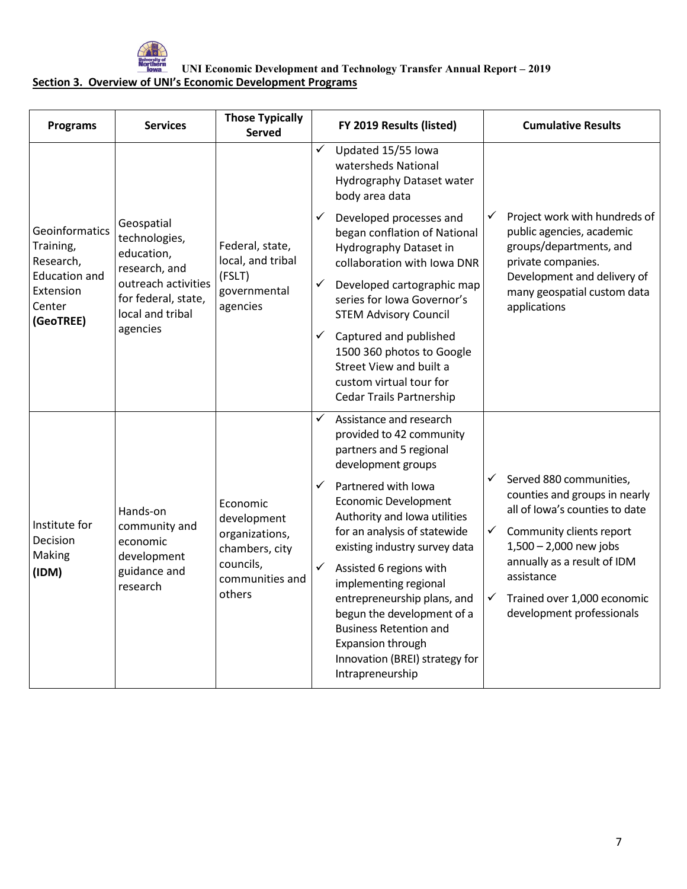

| <b>Programs</b>                                                                                      | <b>Services</b>                                                                                                                          | <b>Those Typically</b><br><b>Served</b>                                                               |              | FY 2019 Results (listed)                                                                                                                     |                              | <b>Cumulative Results</b>                                                                                                                                                                       |
|------------------------------------------------------------------------------------------------------|------------------------------------------------------------------------------------------------------------------------------------------|-------------------------------------------------------------------------------------------------------|--------------|----------------------------------------------------------------------------------------------------------------------------------------------|------------------------------|-------------------------------------------------------------------------------------------------------------------------------------------------------------------------------------------------|
|                                                                                                      |                                                                                                                                          |                                                                                                       | ✓            | Updated 15/55 Iowa<br>watersheds National<br>Hydrography Dataset water<br>body area data                                                     |                              |                                                                                                                                                                                                 |
| Geoinformatics<br>Training,<br>Research,<br><b>Education and</b><br>Extension<br>Center<br>(GeoTREE) | Geospatial<br>technologies,<br>education,<br>research, and<br>outreach activities<br>for federal, state,<br>local and tribal<br>agencies | Federal, state,<br>local, and tribal<br>(FSLT)<br>governmental<br>agencies                            | $\checkmark$ | Developed processes and<br>began conflation of National<br>Hydrography Dataset in<br>collaboration with Iowa DNR                             | $\checkmark$                 | Project work with hundreds of<br>public agencies, academic<br>groups/departments, and<br>private companies.                                                                                     |
|                                                                                                      |                                                                                                                                          |                                                                                                       | ✓            | Developed cartographic map<br>series for Iowa Governor's<br><b>STEM Advisory Council</b>                                                     |                              | Development and delivery of<br>many geospatial custom data<br>applications                                                                                                                      |
|                                                                                                      |                                                                                                                                          |                                                                                                       | ✓            | Captured and published<br>1500 360 photos to Google<br>Street View and built a<br>custom virtual tour for<br><b>Cedar Trails Partnership</b> |                              |                                                                                                                                                                                                 |
|                                                                                                      |                                                                                                                                          |                                                                                                       | ✓            | Assistance and research<br>provided to 42 community<br>partners and 5 regional<br>development groups                                         |                              |                                                                                                                                                                                                 |
| Institute for<br>Decision<br>Making<br>(IDM)                                                         | Hands-on<br>community and<br>economic<br>development<br>guidance and<br>research                                                         | Economic<br>development<br>organizations,<br>chambers, city<br>councils,<br>communities and<br>others | $\checkmark$ | Partnered with Iowa<br><b>Economic Development</b><br>Authority and Iowa utilities                                                           | $\checkmark$<br>$\checkmark$ | Served 880 communities,<br>counties and groups in nearly<br>all of lowa's counties to date<br>Community clients report<br>$1,500 - 2,000$ new jobs<br>annually as a result of IDM<br>assistance |
|                                                                                                      |                                                                                                                                          |                                                                                                       | $\checkmark$ | for an analysis of statewide<br>existing industry survey data<br>Assisted 6 regions with<br>implementing regional                            |                              |                                                                                                                                                                                                 |
|                                                                                                      |                                                                                                                                          |                                                                                                       |              |                                                                                                                                              |                              | entrepreneurship plans, and<br>begun the development of a<br><b>Business Retention and</b><br>Expansion through<br>Innovation (BREI) strategy for<br>Intrapreneurship                           |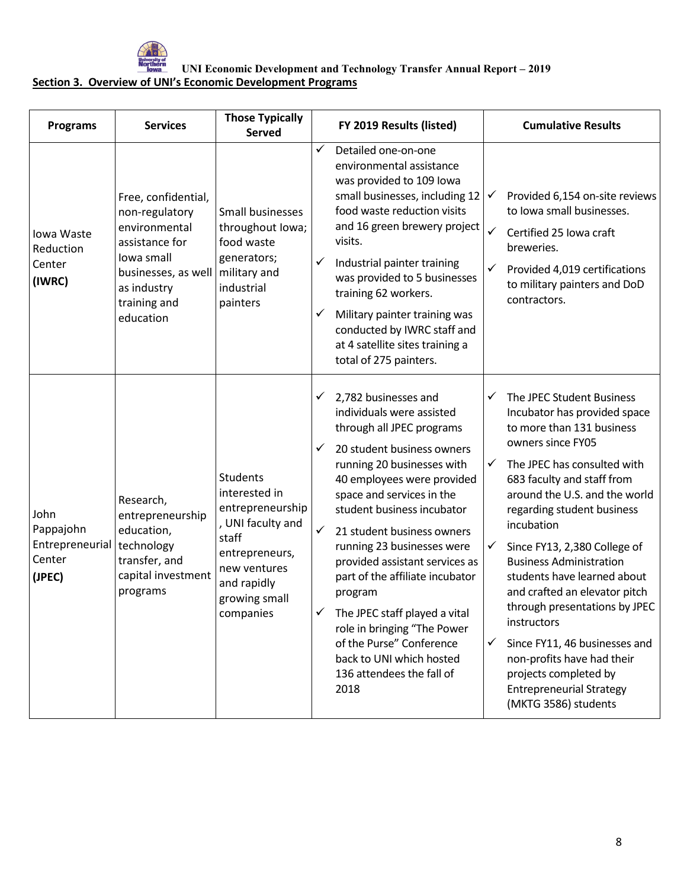

| <b>Programs</b>                                          | <b>Services</b>                                                                                                                                           | <b>Those Typically</b><br><b>Served</b>                                                                                                                           |                   | FY 2019 Results (listed)                                                                                                                                                                                                                                                                                                                                                                                                                                                                                                                                  |                                                   | <b>Cumulative Results</b>                                                                                                                                                                                                                                                                                                                                                                                                                                                                                                                                                                  |
|----------------------------------------------------------|-----------------------------------------------------------------------------------------------------------------------------------------------------------|-------------------------------------------------------------------------------------------------------------------------------------------------------------------|-------------------|-----------------------------------------------------------------------------------------------------------------------------------------------------------------------------------------------------------------------------------------------------------------------------------------------------------------------------------------------------------------------------------------------------------------------------------------------------------------------------------------------------------------------------------------------------------|---------------------------------------------------|--------------------------------------------------------------------------------------------------------------------------------------------------------------------------------------------------------------------------------------------------------------------------------------------------------------------------------------------------------------------------------------------------------------------------------------------------------------------------------------------------------------------------------------------------------------------------------------------|
| Iowa Waste<br>Reduction<br>Center<br>(IWRC)              | Free, confidential,<br>non-regulatory<br>environmental<br>assistance for<br>lowa small<br>businesses, as well<br>as industry<br>training and<br>education | Small businesses<br>throughout lowa;<br>food waste<br>generators;<br>military and<br>industrial<br>painters                                                       | ✓<br>✓<br>✓       | Detailed one-on-one<br>environmental assistance<br>was provided to 109 lowa<br>small businesses, including 12<br>food waste reduction visits<br>and 16 green brewery project<br>visits.<br>Industrial painter training<br>was provided to 5 businesses<br>training 62 workers.<br>Military painter training was<br>conducted by IWRC staff and<br>at 4 satellite sites training a<br>total of 275 painters.                                                                                                                                               | $\checkmark$<br>✓<br>✓                            | Provided 6,154 on-site reviews<br>to lowa small businesses.<br>Certified 25 Iowa craft<br>breweries.<br>Provided 4,019 certifications<br>to military painters and DoD<br>contractors.                                                                                                                                                                                                                                                                                                                                                                                                      |
| John<br>Pappajohn<br>Entrepreneurial<br>Center<br>(JPEC) | Research,<br>entrepreneurship<br>education,<br>technology<br>transfer, and<br>capital investment<br>programs                                              | <b>Students</b><br>interested in<br>entrepreneurship<br>, UNI faculty and<br>staff<br>entrepreneurs,<br>new ventures<br>and rapidly<br>growing small<br>companies | ✓<br>$\checkmark$ | 2,782 businesses and<br>individuals were assisted<br>through all JPEC programs<br>20 student business owners<br>running 20 businesses with<br>40 employees were provided<br>space and services in the<br>student business incubator<br>21 student business owners<br>running 23 businesses were<br>provided assistant services as<br>part of the affiliate incubator<br>program<br>$\checkmark$ The JPEC staff played a vital<br>role in bringing "The Power<br>of the Purse" Conference<br>back to UNI which hosted<br>136 attendees the fall of<br>2018 | ✓<br>$\checkmark$<br>$\checkmark$<br>$\checkmark$ | The JPEC Student Business<br>Incubator has provided space<br>to more than 131 business<br>owners since FY05<br>The JPEC has consulted with<br>683 faculty and staff from<br>around the U.S. and the world<br>regarding student business<br>incubation<br>Since FY13, 2,380 College of<br><b>Business Administration</b><br>students have learned about<br>and crafted an elevator pitch<br>through presentations by JPEC<br>instructors<br>Since FY11, 46 businesses and<br>non-profits have had their<br>projects completed by<br><b>Entrepreneurial Strategy</b><br>(MKTG 3586) students |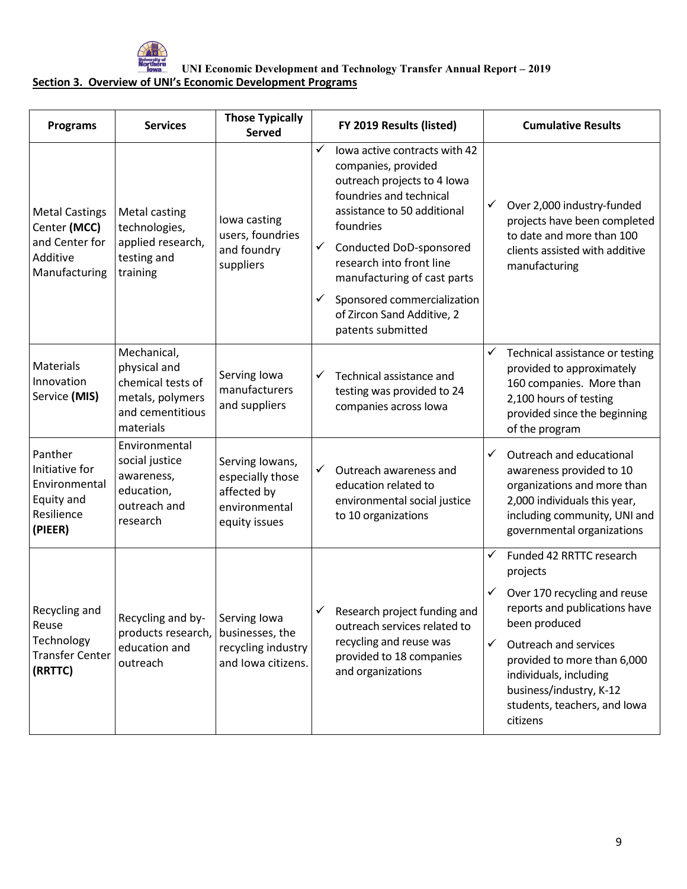

| <b>Programs</b>                                                                      | <b>Services</b>                                                                                       | <b>Those Typically</b><br><b>Served</b>                                              |                   | FY 2019 Results (listed)                                                                                                                                                                                                                         |              | <b>Cumulative Results</b>                                                                                                                                                         |
|--------------------------------------------------------------------------------------|-------------------------------------------------------------------------------------------------------|--------------------------------------------------------------------------------------|-------------------|--------------------------------------------------------------------------------------------------------------------------------------------------------------------------------------------------------------------------------------------------|--------------|-----------------------------------------------------------------------------------------------------------------------------------------------------------------------------------|
| <b>Metal Castings</b><br>Center (MCC)<br>and Center for<br>Additive<br>Manufacturing | <b>Metal casting</b><br>technologies,<br>applied research,<br>testing and<br>training                 | lowa casting<br>users, foundries<br>and foundry<br>suppliers                         | ✓<br>$\checkmark$ | lowa active contracts with 42<br>companies, provided<br>outreach projects to 4 lowa<br>foundries and technical<br>assistance to 50 additional<br>foundries<br>Conducted DoD-sponsored<br>research into front line<br>manufacturing of cast parts | ✓            | Over 2,000 industry-funded<br>projects have been completed<br>to date and more than 100<br>clients assisted with additive<br>manufacturing                                        |
|                                                                                      |                                                                                                       |                                                                                      | ✓                 | Sponsored commercialization<br>of Zircon Sand Additive, 2<br>patents submitted                                                                                                                                                                   |              |                                                                                                                                                                                   |
| Materials<br>Innovation<br>Service (MIS)                                             | Mechanical,<br>physical and<br>chemical tests of<br>metals, polymers<br>and cementitious<br>materials | Serving Iowa<br>manufacturers<br>and suppliers                                       | ✓                 | Technical assistance and<br>testing was provided to 24<br>companies across lowa                                                                                                                                                                  | ✓            | Technical assistance or testing<br>provided to approximately<br>160 companies. More than<br>2,100 hours of testing<br>provided since the beginning<br>of the program              |
| Panther<br>Initiative for<br>Environmental<br>Equity and<br>Resilience<br>(PIEER)    | Environmental<br>social justice<br>awareness,<br>education,<br>outreach and<br>research               | Serving Iowans,<br>especially those<br>affected by<br>environmental<br>equity issues | $\checkmark$      | Outreach awareness and<br>education related to<br>environmental social justice<br>to 10 organizations                                                                                                                                            | ✓            | Outreach and educational<br>awareness provided to 10<br>organizations and more than<br>2,000 individuals this year,<br>including community, UNI and<br>governmental organizations |
|                                                                                      |                                                                                                       |                                                                                      |                   |                                                                                                                                                                                                                                                  | ✓            | Funded 42 RRTTC research<br>projects                                                                                                                                              |
| Recycling and<br>Reuse<br>Technology<br><b>Transfer Center</b><br>(RRTTC)            | Recycling and by-<br>products research,<br>education and<br>outreach                                  | Serving Iowa<br>businesses, the<br>recycling industry<br>and Iowa citizens.          |                   | $\checkmark$ Research project funding and<br>outreach services related to<br>recycling and reuse was<br>provided to 18 companies<br>and organizations                                                                                            |              | Over 170 recycling and reuse<br>reports and publications have<br>been produced                                                                                                    |
|                                                                                      |                                                                                                       |                                                                                      |                   |                                                                                                                                                                                                                                                  | $\checkmark$ | Outreach and services<br>provided to more than 6,000<br>individuals, including<br>business/industry, K-12<br>students, teachers, and lowa<br>citizens                             |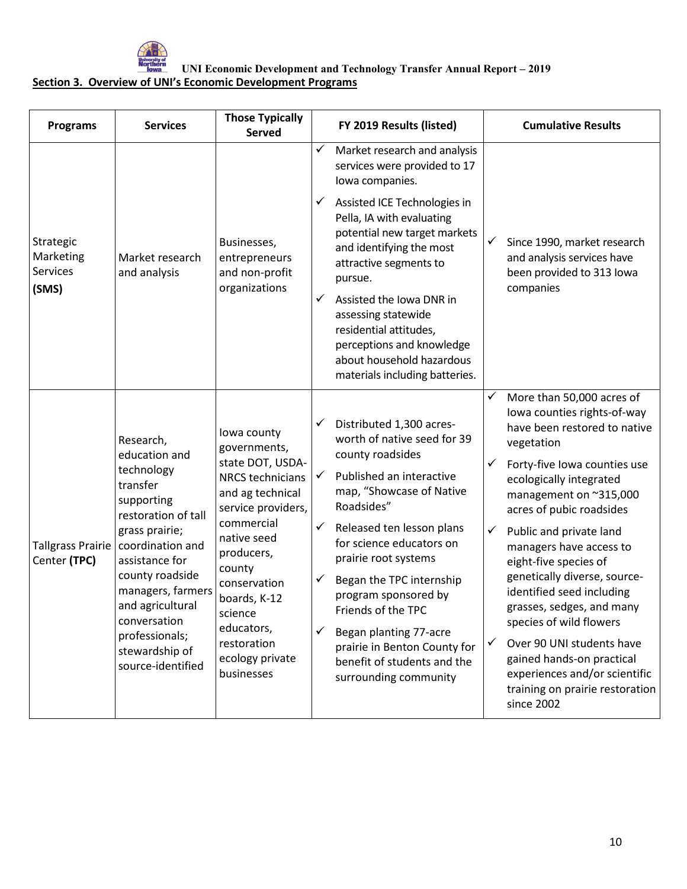

| <b>Programs</b>                             | <b>Services</b>                                                                                                                                                                                                                                                   | <b>Those Typically</b><br><b>Served</b>                                                                                                                                                                                                           |                       | FY 2019 Results (listed)                                                                                                                                                                                                                                                                                                                                               |                                        | <b>Cumulative Results</b>                                                                                                                                                                                                                                                                                                                                                                                                                                                             |
|---------------------------------------------|-------------------------------------------------------------------------------------------------------------------------------------------------------------------------------------------------------------------------------------------------------------------|---------------------------------------------------------------------------------------------------------------------------------------------------------------------------------------------------------------------------------------------------|-----------------------|------------------------------------------------------------------------------------------------------------------------------------------------------------------------------------------------------------------------------------------------------------------------------------------------------------------------------------------------------------------------|----------------------------------------|---------------------------------------------------------------------------------------------------------------------------------------------------------------------------------------------------------------------------------------------------------------------------------------------------------------------------------------------------------------------------------------------------------------------------------------------------------------------------------------|
|                                             |                                                                                                                                                                                                                                                                   |                                                                                                                                                                                                                                                   | ✓                     | Market research and analysis<br>services were provided to 17<br>lowa companies.                                                                                                                                                                                                                                                                                        |                                        |                                                                                                                                                                                                                                                                                                                                                                                                                                                                                       |
| Strategic<br>Marketing<br>Services<br>(SMS) | Market research<br>and analysis                                                                                                                                                                                                                                   | Businesses,<br>entrepreneurs<br>and non-profit<br>organizations                                                                                                                                                                                   | ✓                     | Assisted ICE Technologies in<br>Pella, IA with evaluating<br>potential new target markets<br>and identifying the most<br>attractive segments to<br>pursue.                                                                                                                                                                                                             | $\checkmark$                           | Since 1990, market research<br>and analysis services have<br>been provided to 313 lowa<br>companies                                                                                                                                                                                                                                                                                                                                                                                   |
|                                             |                                                                                                                                                                                                                                                                   |                                                                                                                                                                                                                                                   | ✓                     | Assisted the Iowa DNR in<br>assessing statewide<br>residential attitudes,<br>perceptions and knowledge<br>about household hazardous<br>materials including batteries.                                                                                                                                                                                                  |                                        |                                                                                                                                                                                                                                                                                                                                                                                                                                                                                       |
| <b>Tallgrass Prairie</b><br>Center (TPC)    | Research,<br>education and<br>technology<br>transfer<br>supporting<br>restoration of tall<br>grass prairie;<br>coordination and<br>assistance for<br>county roadside<br>managers, farmers<br>and agricultural<br>conversation<br>professionals;<br>stewardship of | lowa county<br>governments,<br>state DOT, USDA-<br><b>NRCS technicians</b><br>and ag technical<br>service providers,<br>commercial<br>native seed<br>producers,<br>county<br>conservation<br>boards, K-12<br>science<br>educators,<br>restoration | ✓<br>✓<br>✓<br>✓<br>✓ | Distributed 1,300 acres-<br>worth of native seed for 39<br>county roadsides<br>Published an interactive<br>map, "Showcase of Native<br>Roadsides"<br>Released ten lesson plans<br>for science educators on<br>prairie root systems<br>Began the TPC internship<br>program sponsored by<br>Friends of the TPC<br>Began planting 77-acre<br>prairie in Benton County for | ✓<br>$\checkmark$<br>$\checkmark$<br>✓ | More than 50,000 acres of<br>lowa counties rights-of-way<br>have been restored to native<br>vegetation<br>Forty-five Iowa counties use<br>ecologically integrated<br>management on ~315,000<br>acres of pubic roadsides<br>Public and private land<br>managers have access to<br>eight-five species of<br>genetically diverse, source-<br>identified seed including<br>grasses, sedges, and many<br>species of wild flowers<br>Over 90 UNI students have<br>gained hands-on practical |
|                                             | source-identified                                                                                                                                                                                                                                                 | ecology private<br>businesses                                                                                                                                                                                                                     |                       | benefit of students and the<br>surrounding community                                                                                                                                                                                                                                                                                                                   |                                        | experiences and/or scientific<br>training on prairie restoration<br>since 2002                                                                                                                                                                                                                                                                                                                                                                                                        |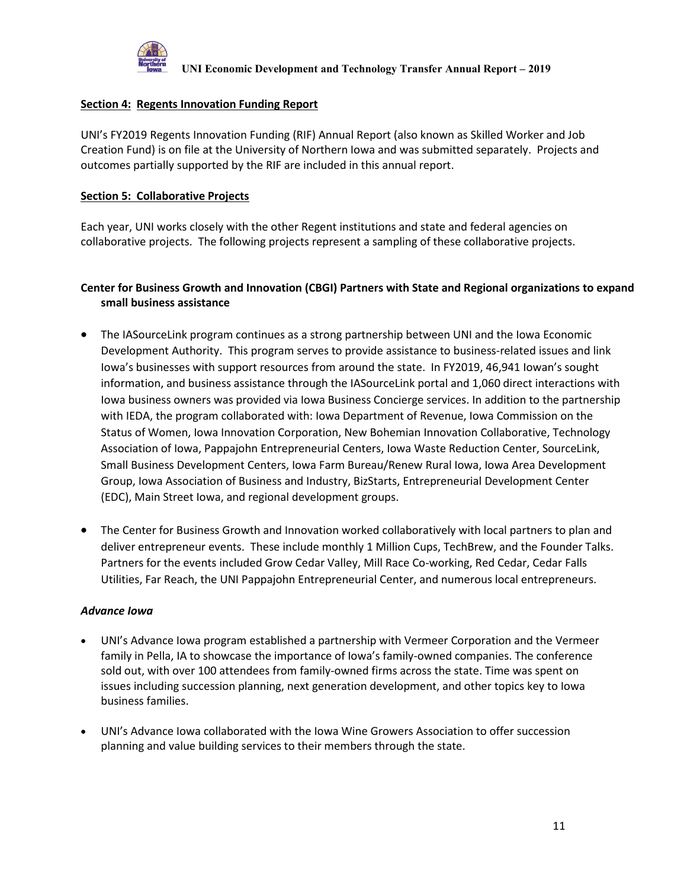

#### **Section 4: Regents Innovation Funding Report**

UNI's FY2019 Regents Innovation Funding (RIF) Annual Report (also known as Skilled Worker and Job Creation Fund) is on file at the University of Northern Iowa and was submitted separately. Projects and outcomes partially supported by the RIF are included in this annual report.

#### **Section 5: Collaborative Projects**

Each year, UNI works closely with the other Regent institutions and state and federal agencies on collaborative projects. The following projects represent a sampling of these collaborative projects.

### **Center for Business Growth and Innovation (CBGI) Partners with State and Regional organizations to expand small business assistance**

- The IASourceLink program continues as a strong partnership between UNI and the Iowa Economic Development Authority. This program serves to provide assistance to business-related issues and link Iowa's businesses with support resources from around the state. In FY2019, 46,941 Iowan's sought information, and business assistance through the IASourceLink portal and 1,060 direct interactions with Iowa business owners was provided via Iowa Business Concierge services. In addition to the partnership with IEDA, the program collaborated with: Iowa Department of Revenue, Iowa Commission on the Status of Women, Iowa Innovation Corporation, New Bohemian Innovation Collaborative, Technology Association of Iowa, Pappajohn Entrepreneurial Centers, Iowa Waste Reduction Center, SourceLink, Small Business Development Centers, Iowa Farm Bureau/Renew Rural Iowa, Iowa Area Development Group, Iowa Association of Business and Industry, BizStarts, Entrepreneurial Development Center (EDC), Main Street Iowa, and regional development groups.
- The Center for Business Growth and Innovation worked collaboratively with local partners to plan and deliver entrepreneur events. These include monthly 1 Million Cups, TechBrew, and the Founder Talks. Partners for the events included Grow Cedar Valley, Mill Race Co-working, Red Cedar, Cedar Falls Utilities, Far Reach, the UNI Pappajohn Entrepreneurial Center, and numerous local entrepreneurs.

#### *Advance Iowa*

- UNI's Advance Iowa program established a partnership with Vermeer Corporation and the Vermeer family in Pella, IA to showcase the importance of Iowa's family-owned companies. The conference sold out, with over 100 attendees from family-owned firms across the state. Time was spent on issues including succession planning, next generation development, and other topics key to Iowa business families.
- UNI's Advance Iowa collaborated with the Iowa Wine Growers Association to offer succession planning and value building services to their members through the state.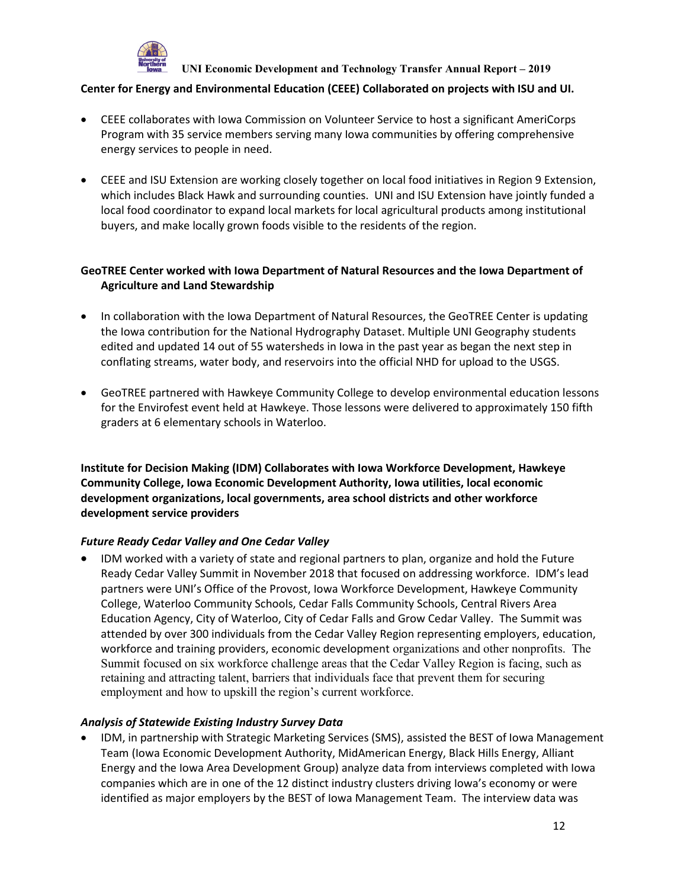

#### **Center for Energy and Environmental Education (CEEE) Collaborated on projects with ISU and UI.**

- CEEE collaborates with Iowa Commission on Volunteer Service to host a significant AmeriCorps Program with 35 service members serving many Iowa communities by offering comprehensive energy services to people in need.
- CEEE and ISU Extension are working closely together on local food initiatives in Region 9 Extension, which includes Black Hawk and surrounding counties. UNI and ISU Extension have jointly funded a local food coordinator to expand local markets for local agricultural products among institutional buyers, and make locally grown foods visible to the residents of the region.

### **GeoTREE Center worked with Iowa Department of Natural Resources and the Iowa Department of Agriculture and Land Stewardship**

- In collaboration with the Iowa Department of Natural Resources, the GeoTREE Center is updating the Iowa contribution for the National Hydrography Dataset. Multiple UNI Geography students edited and updated 14 out of 55 watersheds in Iowa in the past year as began the next step in conflating streams, water body, and reservoirs into the official NHD for upload to the USGS.
- GeoTREE partnered with Hawkeye Community College to develop environmental education lessons for the Envirofest event held at Hawkeye. Those lessons were delivered to approximately 150 fifth graders at 6 elementary schools in Waterloo.

**Institute for Decision Making (IDM) Collaborates with Iowa Workforce Development, Hawkeye Community College, Iowa Economic Development Authority, Iowa utilities, local economic development organizations, local governments, area school districts and other workforce development service providers**

#### *Future Ready Cedar Valley and One Cedar Valley*

• IDM worked with a variety of state and regional partners to plan, organize and hold the Future Ready Cedar Valley Summit in November 2018 that focused on addressing workforce. IDM's lead partners were UNI's Office of the Provost, Iowa Workforce Development, Hawkeye Community College, Waterloo Community Schools, Cedar Falls Community Schools, Central Rivers Area Education Agency, City of Waterloo, City of Cedar Falls and Grow Cedar Valley. The Summit was attended by over 300 individuals from the Cedar Valley Region representing employers, education, workforce and training providers, economic development organizations and other nonprofits. The Summit focused on six workforce challenge areas that the Cedar Valley Region is facing, such as retaining and attracting talent, barriers that individuals face that prevent them for securing employment and how to upskill the region's current workforce.

#### *Analysis of Statewide Existing Industry Survey Data*

• IDM, in partnership with Strategic Marketing Services (SMS), assisted the BEST of Iowa Management Team (Iowa Economic Development Authority, MidAmerican Energy, Black Hills Energy, Alliant Energy and the Iowa Area Development Group) analyze data from interviews completed with Iowa companies which are in one of the 12 distinct industry clusters driving Iowa's economy or were identified as major employers by the BEST of Iowa Management Team. The interview data was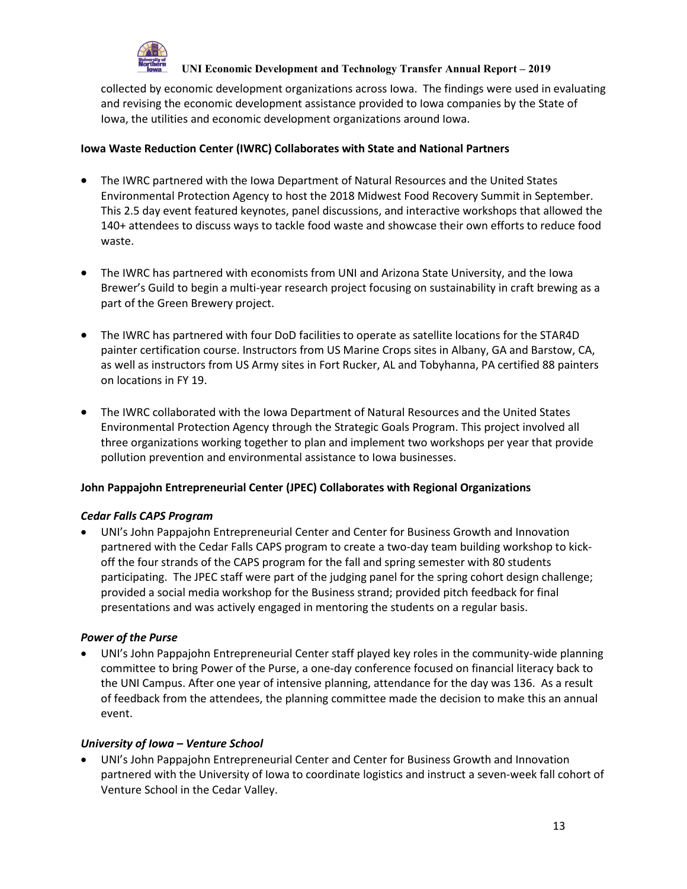

collected by economic development organizations across Iowa. The findings were used in evaluating and revising the economic development assistance provided to Iowa companies by the State of Iowa, the utilities and economic development organizations around Iowa.

### **Iowa Waste Reduction Center (IWRC) Collaborates with State and National Partners**

- The IWRC partnered with the Iowa Department of Natural Resources and the United States Environmental Protection Agency to host the 2018 Midwest Food Recovery Summit in September. This 2.5 day event featured keynotes, panel discussions, and interactive workshops that allowed the 140+ attendees to discuss ways to tackle food waste and showcase their own efforts to reduce food waste.
- The IWRC has partnered with economists from UNI and Arizona State University, and the Iowa Brewer's Guild to begin a multi-year research project focusing on sustainability in craft brewing as a part of the Green Brewery project.
- The IWRC has partnered with four DoD facilities to operate as satellite locations for the STAR4D painter certification course. Instructors from US Marine Crops sites in Albany, GA and Barstow, CA, as well as instructors from US Army sites in Fort Rucker, AL and Tobyhanna, PA certified 88 painters on locations in FY 19.
- The IWRC collaborated with the Iowa Department of Natural Resources and the United States Environmental Protection Agency through the Strategic Goals Program. This project involved all three organizations working together to plan and implement two workshops per year that provide pollution prevention and environmental assistance to Iowa businesses.

### **John Pappajohn Entrepreneurial Center (JPEC) Collaborates with Regional Organizations**

#### *Cedar Falls CAPS Program*

• UNI's John Pappajohn Entrepreneurial Center and Center for Business Growth and Innovation partnered with the Cedar Falls CAPS program to create a two-day team building workshop to kickoff the four strands of the CAPS program for the fall and spring semester with 80 students participating. The JPEC staff were part of the judging panel for the spring cohort design challenge; provided a social media workshop for the Business strand; provided pitch feedback for final presentations and was actively engaged in mentoring the students on a regular basis.

#### *Power of the Purse*

• UNI's John Pappajohn Entrepreneurial Center staff played key roles in the community-wide planning committee to bring Power of the Purse, a one-day conference focused on financial literacy back to the UNI Campus. After one year of intensive planning, attendance for the day was 136. As a result of feedback from the attendees, the planning committee made the decision to make this an annual event.

#### *University of Iowa – Venture School*

• UNI's John Pappajohn Entrepreneurial Center and Center for Business Growth and Innovation partnered with the University of Iowa to coordinate logistics and instruct a seven-week fall cohort of Venture School in the Cedar Valley.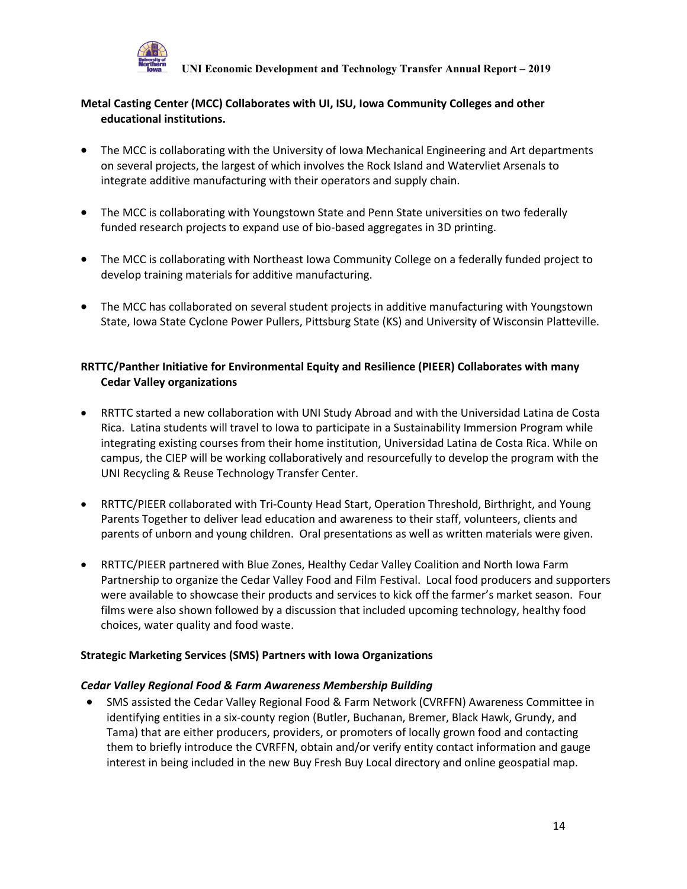

## **Metal Casting Center (MCC) Collaborates with UI, ISU, Iowa Community Colleges and other educational institutions.**

- The MCC is collaborating with the University of Iowa Mechanical Engineering and Art departments on several projects, the largest of which involves the Rock Island and Watervliet Arsenals to integrate additive manufacturing with their operators and supply chain.
- The MCC is collaborating with Youngstown State and Penn State universities on two federally funded research projects to expand use of bio-based aggregates in 3D printing.
- The MCC is collaborating with Northeast Iowa Community College on a federally funded project to develop training materials for additive manufacturing.
- The MCC has collaborated on several student projects in additive manufacturing with Youngstown State, Iowa State Cyclone Power Pullers, Pittsburg State (KS) and University of Wisconsin Platteville.

### **RRTTC/Panther Initiative for Environmental Equity and Resilience (PIEER) Collaborates with many Cedar Valley organizations**

- RRTTC started a new collaboration with UNI Study Abroad and with the Universidad Latina de Costa Rica. Latina students will travel to Iowa to participate in a Sustainability Immersion Program while integrating existing courses from their home institution, Universidad Latina de Costa Rica. While on campus, the CIEP will be working collaboratively and resourcefully to develop the program with the UNI Recycling & Reuse Technology Transfer Center.
- RRTTC/PIEER collaborated with Tri-County Head Start, Operation Threshold, Birthright, and Young Parents Together to deliver lead education and awareness to their staff, volunteers, clients and parents of unborn and young children. Oral presentations as well as written materials were given.
- RRTTC/PIEER partnered with Blue Zones, Healthy Cedar Valley Coalition and North Iowa Farm Partnership to organize the Cedar Valley Food and Film Festival. Local food producers and supporters were available to showcase their products and services to kick off the farmer's market season. Four films were also shown followed by a discussion that included upcoming technology, healthy food choices, water quality and food waste.

#### **Strategic Marketing Services (SMS) Partners with Iowa Organizations**

#### *Cedar Valley Regional Food & Farm Awareness Membership Building*

• SMS assisted the Cedar Valley Regional Food & Farm Network (CVRFFN) Awareness Committee in identifying entities in a six-county region (Butler, Buchanan, Bremer, Black Hawk, Grundy, and Tama) that are either producers, providers, or promoters of locally grown food and contacting them to briefly introduce the CVRFFN, obtain and/or verify entity contact information and gauge interest in being included in the new Buy Fresh Buy Local directory and online geospatial map.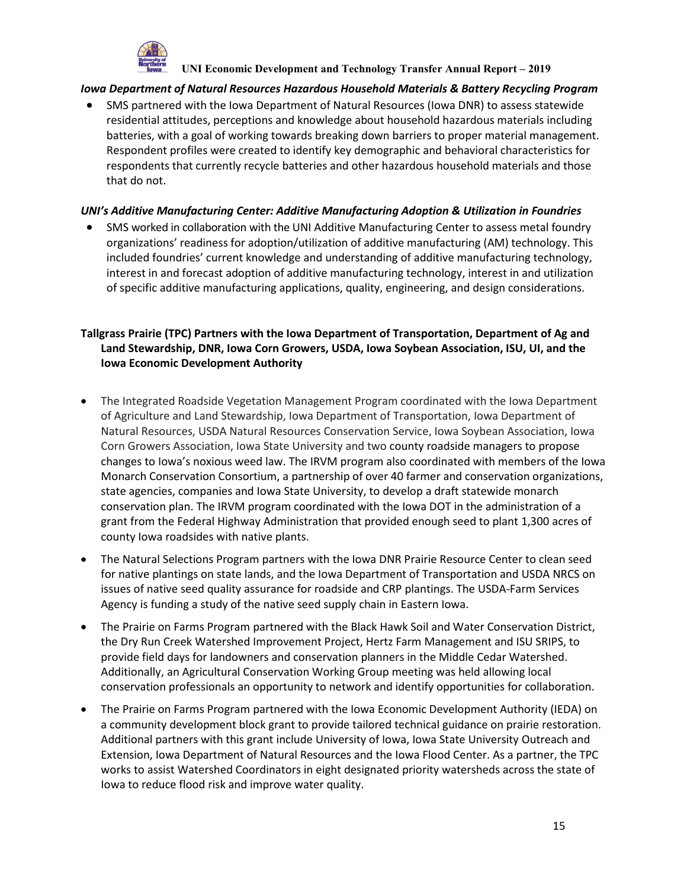

#### *Iowa Department of Natural Resources Hazardous Household Materials & Battery Recycling Program*

• SMS partnered with the Iowa Department of Natural Resources (Iowa DNR) to assess statewide residential attitudes, perceptions and knowledge about household hazardous materials including batteries, with a goal of working towards breaking down barriers to proper material management. Respondent profiles were created to identify key demographic and behavioral characteristics for respondents that currently recycle batteries and other hazardous household materials and those that do not.

### *UNI's Additive Manufacturing Center: Additive Manufacturing Adoption & Utilization in Foundries*

• SMS worked in collaboration with the UNI Additive Manufacturing Center to assess metal foundry organizations' readiness for adoption/utilization of additive manufacturing (AM) technology. This included foundries' current knowledge and understanding of additive manufacturing technology, interest in and forecast adoption of additive manufacturing technology, interest in and utilization of specific additive manufacturing applications, quality, engineering, and design considerations.

## **Tallgrass Prairie (TPC) Partners with the Iowa Department of Transportation, Department of Ag and Land Stewardship, DNR, Iowa Corn Growers, USDA, Iowa Soybean Association, ISU, UI, and the Iowa Economic Development Authority**

- The Integrated Roadside Vegetation Management Program coordinated with the Iowa Department of Agriculture and Land Stewardship, Iowa Department of Transportation, Iowa Department of Natural Resources, USDA Natural Resources Conservation Service, Iowa Soybean Association, Iowa Corn Growers Association, Iowa State University and two county roadside managers to propose changes to Iowa's noxious weed law. The IRVM program also coordinated with members of the Iowa Monarch Conservation Consortium, a partnership of over 40 farmer and conservation organizations, state agencies, companies and Iowa State University, to develop a draft statewide monarch conservation plan. The IRVM program coordinated with the Iowa DOT in the administration of a grant from the Federal Highway Administration that provided enough seed to plant 1,300 acres of county Iowa roadsides with native plants.
- The Natural Selections Program partners with the Iowa DNR Prairie Resource Center to clean seed for native plantings on state lands, and the Iowa Department of Transportation and USDA NRCS on issues of native seed quality assurance for roadside and CRP plantings. The USDA-Farm Services Agency is funding a study of the native seed supply chain in Eastern Iowa.
- The Prairie on Farms Program partnered with the Black Hawk Soil and Water Conservation District, the Dry Run Creek Watershed Improvement Project, Hertz Farm Management and ISU SRIPS, to provide field days for landowners and conservation planners in the Middle Cedar Watershed. Additionally, an Agricultural Conservation Working Group meeting was held allowing local conservation professionals an opportunity to network and identify opportunities for collaboration.
- The Prairie on Farms Program partnered with the Iowa Economic Development Authority (IEDA) on a community development block grant to provide tailored technical guidance on prairie restoration. Additional partners with this grant include University of Iowa, Iowa State University Outreach and Extension, Iowa Department of Natural Resources and the Iowa Flood Center. As a partner, the TPC works to assist Watershed Coordinators in eight designated priority watersheds across the state of Iowa to reduce flood risk and improve water quality.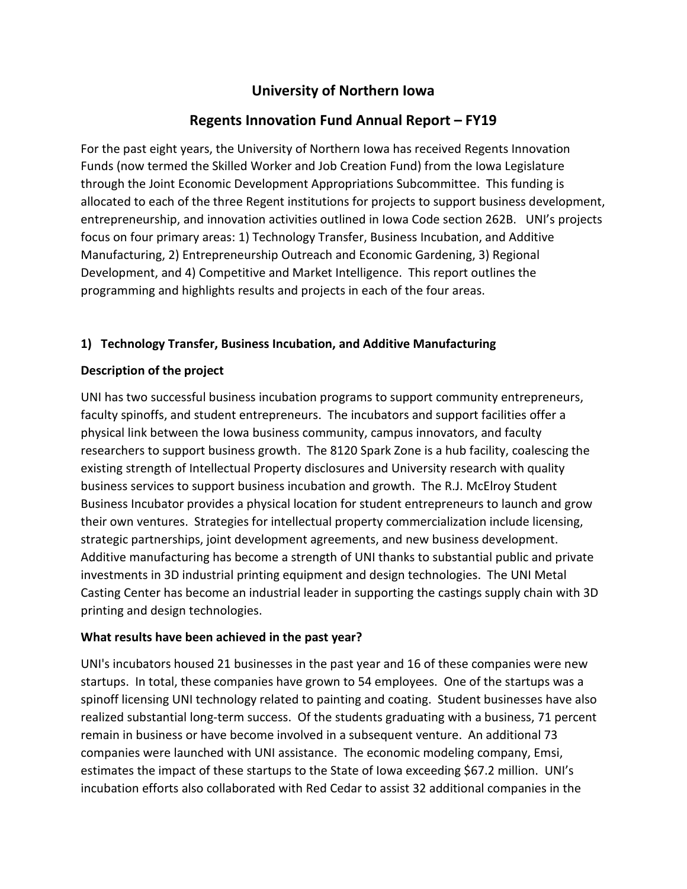# **University of Northern Iowa**

# **Regents Innovation Fund Annual Report – FY19**

For the past eight years, the University of Northern Iowa has received Regents Innovation Funds (now termed the Skilled Worker and Job Creation Fund) from the Iowa Legislature through the Joint Economic Development Appropriations Subcommittee. This funding is allocated to each of the three Regent institutions for projects to support business development, entrepreneurship, and innovation activities outlined in Iowa Code section 262B. UNI's projects focus on four primary areas: 1) Technology Transfer, Business Incubation, and Additive Manufacturing, 2) Entrepreneurship Outreach and Economic Gardening, 3) Regional Development, and 4) Competitive and Market Intelligence. This report outlines the programming and highlights results and projects in each of the four areas.

## **1) Technology Transfer, Business Incubation, and Additive Manufacturing**

## **Description of the project**

UNI has two successful business incubation programs to support community entrepreneurs, faculty spinoffs, and student entrepreneurs. The incubators and support facilities offer a physical link between the Iowa business community, campus innovators, and faculty researchers to support business growth. The 8120 Spark Zone is a hub facility, coalescing the existing strength of Intellectual Property disclosures and University research with quality business services to support business incubation and growth. The R.J. McElroy Student Business Incubator provides a physical location for student entrepreneurs to launch and grow their own ventures. Strategies for intellectual property commercialization include licensing, strategic partnerships, joint development agreements, and new business development. Additive manufacturing has become a strength of UNI thanks to substantial public and private investments in 3D industrial printing equipment and design technologies. The UNI Metal Casting Center has become an industrial leader in supporting the castings supply chain with 3D printing and design technologies.

## **What results have been achieved in the past year?**

UNI's incubators housed 21 businesses in the past year and 16 of these companies were new startups. In total, these companies have grown to 54 employees. One of the startups was a spinoff licensing UNI technology related to painting and coating. Student businesses have also realized substantial long-term success. Of the students graduating with a business, 71 percent remain in business or have become involved in a subsequent venture. An additional 73 companies were launched with UNI assistance. The economic modeling company, Emsi, estimates the impact of these startups to the State of Iowa exceeding \$67.2 million. UNI's incubation efforts also collaborated with Red Cedar to assist 32 additional companies in the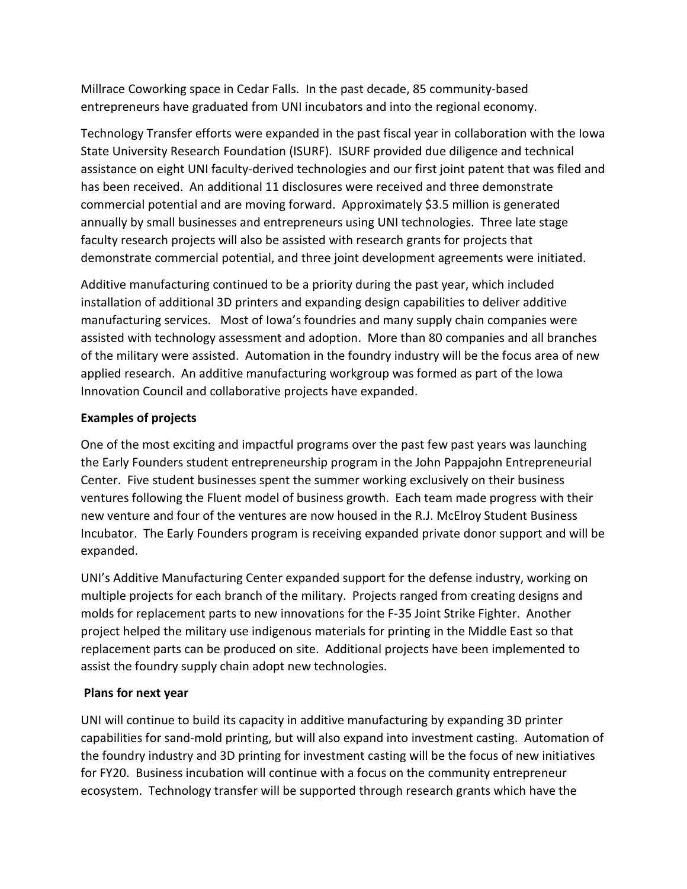Millrace Coworking space in Cedar Falls. In the past decade, 85 community-based entrepreneurs have graduated from UNI incubators and into the regional economy.

Technology Transfer efforts were expanded in the past fiscal year in collaboration with the Iowa State University Research Foundation (ISURF). ISURF provided due diligence and technical assistance on eight UNI faculty-derived technologies and our first joint patent that was filed and has been received. An additional 11 disclosures were received and three demonstrate commercial potential and are moving forward. Approximately \$3.5 million is generated annually by small businesses and entrepreneurs using UNI technologies. Three late stage faculty research projects will also be assisted with research grants for projects that demonstrate commercial potential, and three joint development agreements were initiated.

Additive manufacturing continued to be a priority during the past year, which included installation of additional 3D printers and expanding design capabilities to deliver additive manufacturing services. Most of Iowa's foundries and many supply chain companies were assisted with technology assessment and adoption. More than 80 companies and all branches of the military were assisted. Automation in the foundry industry will be the focus area of new applied research. An additive manufacturing workgroup was formed as part of the Iowa Innovation Council and collaborative projects have expanded.

## **Examples of projects**

One of the most exciting and impactful programs over the past few past years was launching the Early Founders student entrepreneurship program in the John Pappajohn Entrepreneurial Center. Five student businesses spent the summer working exclusively on their business ventures following the Fluent model of business growth. Each team made progress with their new venture and four of the ventures are now housed in the R.J. McElroy Student Business Incubator. The Early Founders program is receiving expanded private donor support and will be expanded.

UNI's Additive Manufacturing Center expanded support for the defense industry, working on multiple projects for each branch of the military. Projects ranged from creating designs and molds for replacement parts to new innovations for the F-35 Joint Strike Fighter. Another project helped the military use indigenous materials for printing in the Middle East so that replacement parts can be produced on site. Additional projects have been implemented to assist the foundry supply chain adopt new technologies.

## **Plans for next year**

UNI will continue to build its capacity in additive manufacturing by expanding 3D printer capabilities for sand-mold printing, but will also expand into investment casting. Automation of the foundry industry and 3D printing for investment casting will be the focus of new initiatives for FY20. Business incubation will continue with a focus on the community entrepreneur ecosystem. Technology transfer will be supported through research grants which have the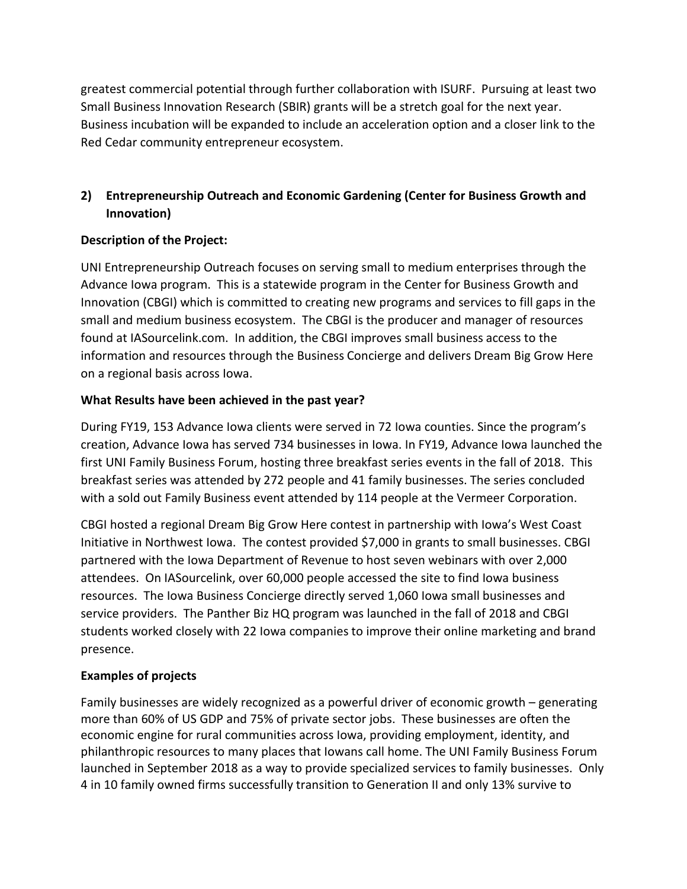greatest commercial potential through further collaboration with ISURF. Pursuing at least two Small Business Innovation Research (SBIR) grants will be a stretch goal for the next year. Business incubation will be expanded to include an acceleration option and a closer link to the Red Cedar community entrepreneur ecosystem.

# **2) Entrepreneurship Outreach and Economic Gardening (Center for Business Growth and Innovation)**

## **Description of the Project:**

UNI Entrepreneurship Outreach focuses on serving small to medium enterprises through the Advance Iowa program. This is a statewide program in the Center for Business Growth and Innovation (CBGI) which is committed to creating new programs and services to fill gaps in the small and medium business ecosystem. The CBGI is the producer and manager of resources found at IASourcelink.com. In addition, the CBGI improves small business access to the information and resources through the Business Concierge and delivers Dream Big Grow Here on a regional basis across Iowa.

## **What Results have been achieved in the past year?**

During FY19, 153 Advance Iowa clients were served in 72 Iowa counties. Since the program's creation, Advance Iowa has served 734 businesses in Iowa. In FY19, Advance Iowa launched the first UNI Family Business Forum, hosting three breakfast series events in the fall of 2018. This breakfast series was attended by 272 people and 41 family businesses. The series concluded with a sold out Family Business event attended by 114 people at the Vermeer Corporation.

CBGI hosted a regional Dream Big Grow Here contest in partnership with Iowa's West Coast Initiative in Northwest Iowa. The contest provided \$7,000 in grants to small businesses. CBGI partnered with the Iowa Department of Revenue to host seven webinars with over 2,000 attendees. On IASourcelink, over 60,000 people accessed the site to find Iowa business resources. The Iowa Business Concierge directly served 1,060 Iowa small businesses and service providers. The Panther Biz HQ program was launched in the fall of 2018 and CBGI students worked closely with 22 Iowa companies to improve their online marketing and brand presence.

# **Examples of projects**

Family businesses are widely recognized as a powerful driver of economic growth – generating more than 60% of US GDP and 75% of private sector jobs. These businesses are often the economic engine for rural communities across Iowa, providing employment, identity, and philanthropic resources to many places that Iowans call home. The UNI Family Business Forum launched in September 2018 as a way to provide specialized services to family businesses. Only 4 in 10 family owned firms successfully transition to Generation II and only 13% survive to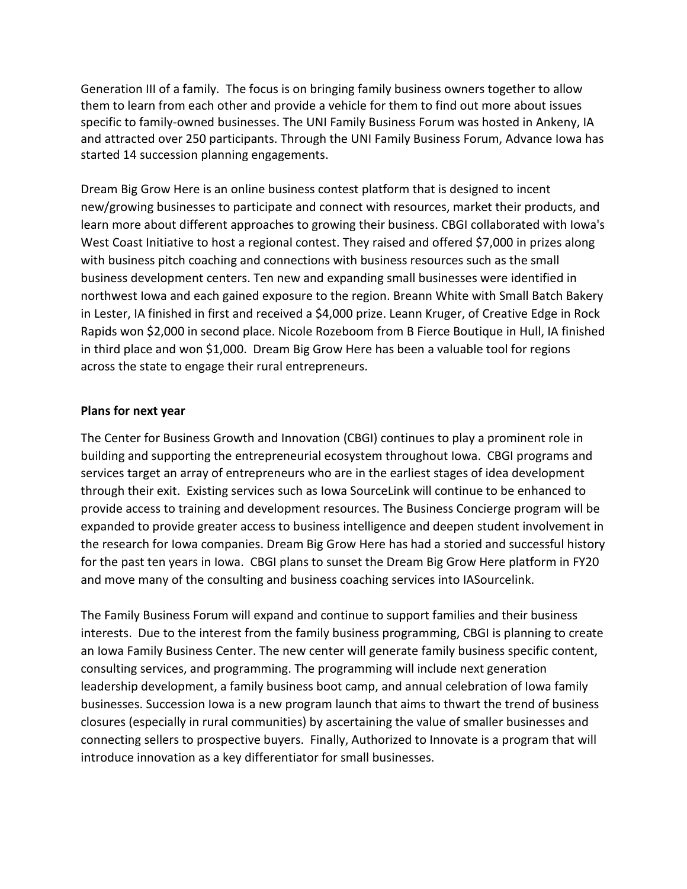Generation III of a family. The focus is on bringing family business owners together to allow them to learn from each other and provide a vehicle for them to find out more about issues specific to family-owned businesses. The UNI Family Business Forum was hosted in Ankeny, IA and attracted over 250 participants. Through the UNI Family Business Forum, Advance Iowa has started 14 succession planning engagements.

Dream Big Grow Here is an online business contest platform that is designed to incent new/growing businesses to participate and connect with resources, market their products, and learn more about different approaches to growing their business. CBGI collaborated with Iowa's West Coast Initiative to host a regional contest. They raised and offered \$7,000 in prizes along with business pitch coaching and connections with business resources such as the small business development centers. Ten new and expanding small businesses were identified in northwest Iowa and each gained exposure to the region. Breann White with Small Batch Bakery in Lester, IA finished in first and received a \$4,000 prize. Leann Kruger, of Creative Edge in Rock Rapids won \$2,000 in second place. Nicole Rozeboom from B Fierce Boutique in Hull, IA finished in third place and won \$1,000. Dream Big Grow Here has been a valuable tool for regions across the state to engage their rural entrepreneurs.

## **Plans for next year**

The Center for Business Growth and Innovation (CBGI) continues to play a prominent role in building and supporting the entrepreneurial ecosystem throughout Iowa. CBGI programs and services target an array of entrepreneurs who are in the earliest stages of idea development through their exit. Existing services such as Iowa SourceLink will continue to be enhanced to provide access to training and development resources. The Business Concierge program will be expanded to provide greater access to business intelligence and deepen student involvement in the research for Iowa companies. Dream Big Grow Here has had a storied and successful history for the past ten years in Iowa. CBGI plans to sunset the Dream Big Grow Here platform in FY20 and move many of the consulting and business coaching services into IASourcelink.

The Family Business Forum will expand and continue to support families and their business interests. Due to the interest from the family business programming, CBGI is planning to create an Iowa Family Business Center. The new center will generate family business specific content, consulting services, and programming. The programming will include next generation leadership development, a family business boot camp, and annual celebration of Iowa family businesses. Succession Iowa is a new program launch that aims to thwart the trend of business closures (especially in rural communities) by ascertaining the value of smaller businesses and connecting sellers to prospective buyers. Finally, Authorized to Innovate is a program that will introduce innovation as a key differentiator for small businesses.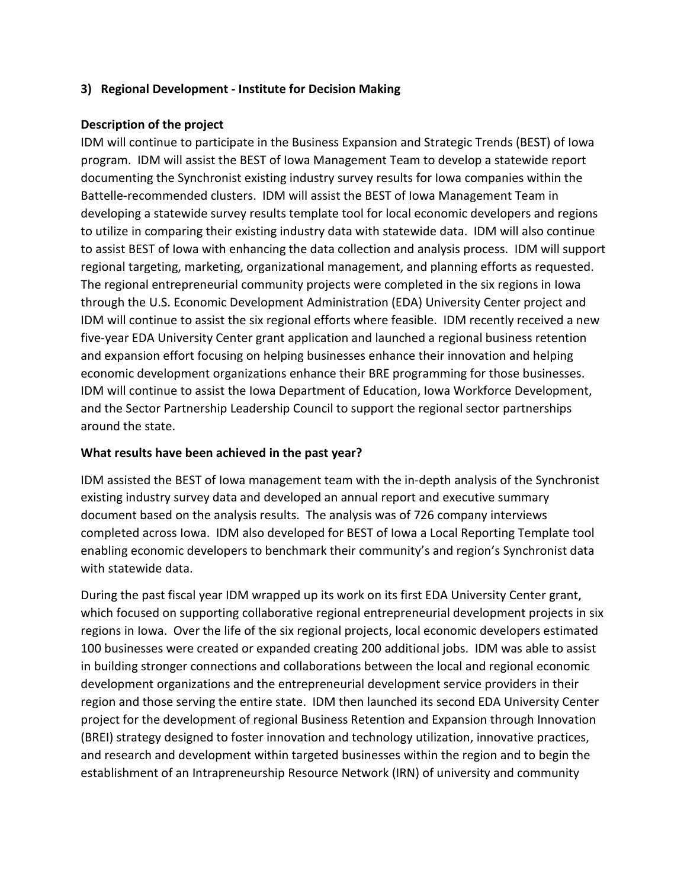## **3) Regional Development - Institute for Decision Making**

## **Description of the project**

IDM will continue to participate in the Business Expansion and Strategic Trends (BEST) of Iowa program. IDM will assist the BEST of Iowa Management Team to develop a statewide report documenting the Synchronist existing industry survey results for Iowa companies within the Battelle-recommended clusters. IDM will assist the BEST of Iowa Management Team in developing a statewide survey results template tool for local economic developers and regions to utilize in comparing their existing industry data with statewide data. IDM will also continue to assist BEST of Iowa with enhancing the data collection and analysis process. IDM will support regional targeting, marketing, organizational management, and planning efforts as requested. The regional entrepreneurial community projects were completed in the six regions in Iowa through the U.S. Economic Development Administration (EDA) University Center project and IDM will continue to assist the six regional efforts where feasible. IDM recently received a new five-year EDA University Center grant application and launched a regional business retention and expansion effort focusing on helping businesses enhance their innovation and helping economic development organizations enhance their BRE programming for those businesses. IDM will continue to assist the Iowa Department of Education, Iowa Workforce Development, and the Sector Partnership Leadership Council to support the regional sector partnerships around the state.

## **What results have been achieved in the past year?**

IDM assisted the BEST of Iowa management team with the in-depth analysis of the Synchronist existing industry survey data and developed an annual report and executive summary document based on the analysis results. The analysis was of 726 company interviews completed across Iowa. IDM also developed for BEST of Iowa a Local Reporting Template tool enabling economic developers to benchmark their community's and region's Synchronist data with statewide data.

During the past fiscal year IDM wrapped up its work on its first EDA University Center grant, which focused on supporting collaborative regional entrepreneurial development projects in six regions in Iowa. Over the life of the six regional projects, local economic developers estimated 100 businesses were created or expanded creating 200 additional jobs. IDM was able to assist in building stronger connections and collaborations between the local and regional economic development organizations and the entrepreneurial development service providers in their region and those serving the entire state. IDM then launched its second EDA University Center project for the development of regional Business Retention and Expansion through Innovation (BREI) strategy designed to foster innovation and technology utilization, innovative practices, and research and development within targeted businesses within the region and to begin the establishment of an Intrapreneurship Resource Network (IRN) of university and community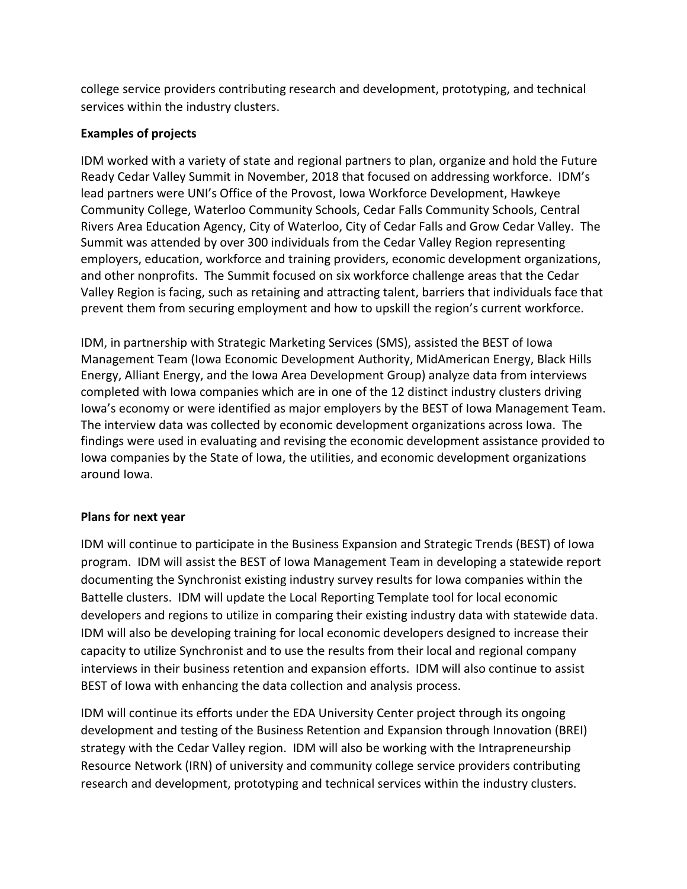college service providers contributing research and development, prototyping, and technical services within the industry clusters.

## **Examples of projects**

IDM worked with a variety of state and regional partners to plan, organize and hold the Future Ready Cedar Valley Summit in November, 2018 that focused on addressing workforce. IDM's lead partners were UNI's Office of the Provost, Iowa Workforce Development, Hawkeye Community College, Waterloo Community Schools, Cedar Falls Community Schools, Central Rivers Area Education Agency, City of Waterloo, City of Cedar Falls and Grow Cedar Valley. The Summit was attended by over 300 individuals from the Cedar Valley Region representing employers, education, workforce and training providers, economic development organizations, and other nonprofits. The Summit focused on six workforce challenge areas that the Cedar Valley Region is facing, such as retaining and attracting talent, barriers that individuals face that prevent them from securing employment and how to upskill the region's current workforce.

IDM, in partnership with Strategic Marketing Services (SMS), assisted the BEST of Iowa Management Team (Iowa Economic Development Authority, MidAmerican Energy, Black Hills Energy, Alliant Energy, and the Iowa Area Development Group) analyze data from interviews completed with Iowa companies which are in one of the 12 distinct industry clusters driving Iowa's economy or were identified as major employers by the BEST of Iowa Management Team. The interview data was collected by economic development organizations across Iowa. The findings were used in evaluating and revising the economic development assistance provided to Iowa companies by the State of Iowa, the utilities, and economic development organizations around Iowa.

## **Plans for next year**

IDM will continue to participate in the Business Expansion and Strategic Trends (BEST) of Iowa program. IDM will assist the BEST of Iowa Management Team in developing a statewide report documenting the Synchronist existing industry survey results for Iowa companies within the Battelle clusters. IDM will update the Local Reporting Template tool for local economic developers and regions to utilize in comparing their existing industry data with statewide data. IDM will also be developing training for local economic developers designed to increase their capacity to utilize Synchronist and to use the results from their local and regional company interviews in their business retention and expansion efforts. IDM will also continue to assist BEST of Iowa with enhancing the data collection and analysis process.

IDM will continue its efforts under the EDA University Center project through its ongoing development and testing of the Business Retention and Expansion through Innovation (BREI) strategy with the Cedar Valley region. IDM will also be working with the Intrapreneurship Resource Network (IRN) of university and community college service providers contributing research and development, prototyping and technical services within the industry clusters.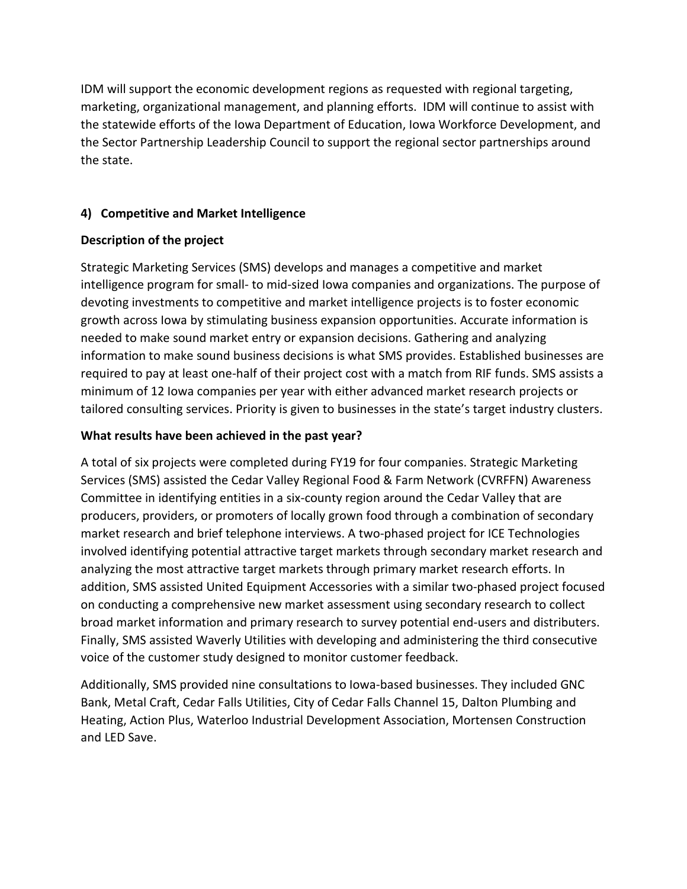IDM will support the economic development regions as requested with regional targeting, marketing, organizational management, and planning efforts. IDM will continue to assist with the statewide efforts of the Iowa Department of Education, Iowa Workforce Development, and the Sector Partnership Leadership Council to support the regional sector partnerships around the state.

## **4) Competitive and Market Intelligence**

## **Description of the project**

Strategic Marketing Services (SMS) develops and manages a competitive and market intelligence program for small- to mid-sized Iowa companies and organizations. The purpose of devoting investments to competitive and market intelligence projects is to foster economic growth across Iowa by stimulating business expansion opportunities. Accurate information is needed to make sound market entry or expansion decisions. Gathering and analyzing information to make sound business decisions is what SMS provides. Established businesses are required to pay at least one-half of their project cost with a match from RIF funds. SMS assists a minimum of 12 Iowa companies per year with either advanced market research projects or tailored consulting services. Priority is given to businesses in the state's target industry clusters.

## **What results have been achieved in the past year?**

A total of six projects were completed during FY19 for four companies. Strategic Marketing Services (SMS) assisted the Cedar Valley Regional Food & Farm Network (CVRFFN) Awareness Committee in identifying entities in a six-county region around the Cedar Valley that are producers, providers, or promoters of locally grown food through a combination of secondary market research and brief telephone interviews. A two-phased project for ICE Technologies involved identifying potential attractive target markets through secondary market research and analyzing the most attractive target markets through primary market research efforts. In addition, SMS assisted United Equipment Accessories with a similar two-phased project focused on conducting a comprehensive new market assessment using secondary research to collect broad market information and primary research to survey potential end-users and distributers. Finally, SMS assisted Waverly Utilities with developing and administering the third consecutive voice of the customer study designed to monitor customer feedback.

Additionally, SMS provided nine consultations to Iowa-based businesses. They included GNC Bank, Metal Craft, Cedar Falls Utilities, City of Cedar Falls Channel 15, Dalton Plumbing and Heating, Action Plus, Waterloo Industrial Development Association, Mortensen Construction and LED Save.